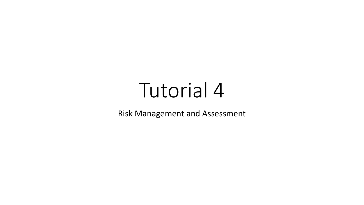## Tutorial 4

Risk Management and Assessment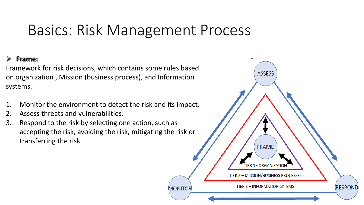## Basics: Risk Management Process

## **Frame:**

Framework for risk decisions, which contains some rules based on organization , Mission (business process), and Information systems.

- 1. Monitor the environment to detect the risk and its impact.
- 2. Assess threats and vulnerabilities.
- 3. Respond to the risk by selecting one action, such as accepting the risk, avoiding the risk, mitigating the risk or transferring the risk